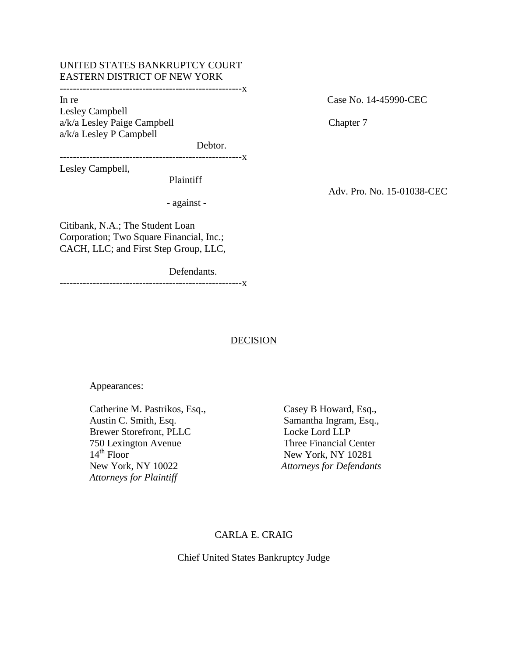# UNITED STATES BANKRUPTCY COURT EASTERN DISTRICT OF NEW YORK

-------------------------------------------------------x

Lesley Campbell a/k/a Lesley Paige Campbell Chapter 7 a/k/a Lesley P Campbell

Debtor.

-------------------------------------------------------x

Lesley Campbell,

Plaintiff

- against -

In re Case No. 14-45990-CEC

Adv. Pro. No. 15-01038-CEC

Citibank, N.A.; The Student Loan Corporation; Two Square Financial, Inc.; CACH, LLC; and First Step Group, LLC,

Defendants.

-------------------------------------------------------x

## **DECISION**

Appearances:

Catherine M. Pastrikos, Esq., Casey B Howard, Esq., Austin C. Smith, Esq. Samantha Ingram, Esq.,<br>Brewer Storefront. PLLC Locke Lord LLP Brewer Storefront, PLLC 750 Lexington Avenue Three Financial Center 14<sup>th</sup> Floor New York, NY 10281<br>New York, NY 10022 Attorneys for Defendan *Attorneys for Plaintiff* 

**Attorneys for Defendants** 

# CARLA E. CRAIG

Chief United States Bankruptcy Judge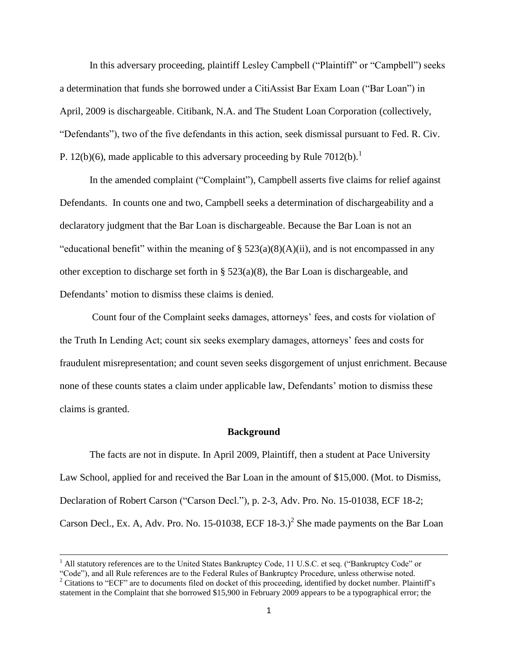In this adversary proceeding, plaintiff Lesley Campbell ("Plaintiff" or "Campbell") seeks a determination that funds she borrowed under a CitiAssist Bar Exam Loan ("Bar Loan") in April, 2009 is dischargeable. Citibank, N.A. and The Student Loan Corporation (collectively, ―Defendants‖), two of the five defendants in this action, seek dismissal pursuant to Fed. R. Civ. P. 12(b)(6), made applicable to this adversary proceeding by Rule  $7012(b)$ .<sup>1</sup>

In the amended complaint ("Complaint"), Campbell asserts five claims for relief against Defendants. In counts one and two, Campbell seeks a determination of dischargeability and a declaratory judgment that the Bar Loan is dischargeable. Because the Bar Loan is not an "educational benefit" within the meaning of  $\S$  523(a)(8)(A)(ii), and is not encompassed in any other exception to discharge set forth in  $\S$  523(a)(8), the Bar Loan is dischargeable, and Defendants' motion to dismiss these claims is denied.

Count four of the Complaint seeks damages, attorneys' fees, and costs for violation of the Truth In Lending Act; count six seeks exemplary damages, attorneys' fees and costs for fraudulent misrepresentation; and count seven seeks disgorgement of unjust enrichment. Because none of these counts states a claim under applicable law, Defendants' motion to dismiss these claims is granted.

#### **Background**

The facts are not in dispute. In April 2009, Plaintiff, then a student at Pace University Law School, applied for and received the Bar Loan in the amount of \$15,000. (Mot. to Dismiss, Declaration of Robert Carson ("Carson Decl."), p. 2-3, Adv. Pro. No. 15-01038, ECF 18-2; Carson Decl., Ex. A, Adv. Pro. No. 15-01038, ECF 18-3.)<sup>2</sup> She made payments on the Bar Loan

<sup>&</sup>lt;sup>1</sup> All statutory references are to the United States Bankruptcy Code, 11 U.S.C. et seq. ("Bankruptcy Code" or

<sup>―</sup>Code‖), and all Rule references are to the Federal Rules of Bankruptcy Procedure, unless otherwise noted.  $2^2$  Citations to "ECF" are to documents filed on docket of this proceeding, identified by docket number. Plaintiff's statement in the Complaint that she borrowed \$15,900 in February 2009 appears to be a typographical error; the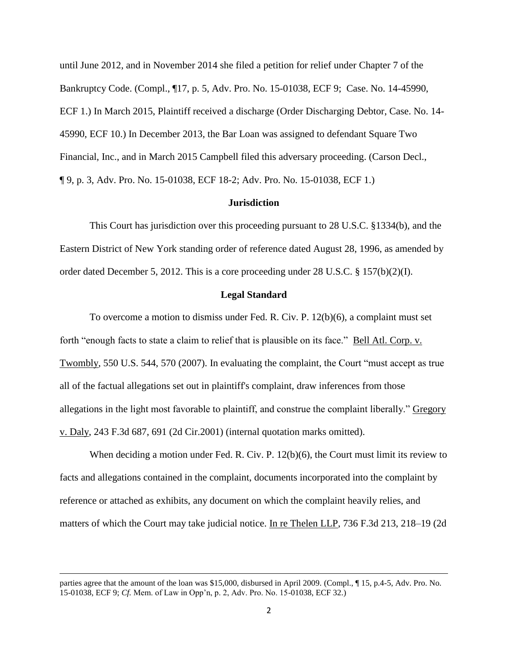until June 2012, and in November 2014 she filed a petition for relief under Chapter 7 of the Bankruptcy Code. (Compl., ¶17, p. 5, Adv. Pro. No. 15-01038, ECF 9; Case. No. 14-45990, ECF 1.) In March 2015, Plaintiff received a discharge (Order Discharging Debtor, Case. No. 14- 45990, ECF 10.) In December 2013, the Bar Loan was assigned to defendant Square Two Financial, Inc., and in March 2015 Campbell filed this adversary proceeding. (Carson Decl., ¶ 9, p. 3, Adv. Pro. No. 15-01038, ECF 18-2; Adv. Pro. No. 15-01038, ECF 1.)

#### **Jurisdiction**

This Court has jurisdiction over this proceeding pursuant to 28 U.S.C. §1334(b), and the Eastern District of New York standing order of reference dated August 28, 1996, as amended by order dated December 5, 2012. This is a core proceeding under 28 U.S.C. § 157(b)(2)(I).

### **Legal Standard**

To overcome a motion to dismiss under Fed. R. Civ. P. 12(b)(6), a complaint must set forth "enough facts to state a claim to relief that is plausible on its face." Bell Atl. Corp. v. Twombly, 550 U.S. 544, 570 (2007). In evaluating the complaint, the Court "must accept as true all of the factual allegations set out in plaintiff's complaint, draw inferences from those allegations in the light most favorable to plaintiff, and construe the complaint liberally." Gregory v. Daly, 243 F.3d 687, 691 (2d Cir.2001) (internal quotation marks omitted).

When deciding a motion under Fed. R. Civ. P. 12(b)(6), the Court must limit its review to facts and allegations contained in the complaint, documents incorporated into the complaint by reference or attached as exhibits, any document on which the complaint heavily relies, and matters of which the Court may take judicial notice. In re Thelen LLP, 736 F.3d 213, 218–19 (2d)

parties agree that the amount of the loan was \$15,000, disbursed in April 2009. (Compl., ¶ 15, p.4-5, Adv. Pro. No. 15-01038, ECF 9; *Cf.* Mem. of Law in Opp'n, p. 2, Adv. Pro. No. 15-01038, ECF 32.)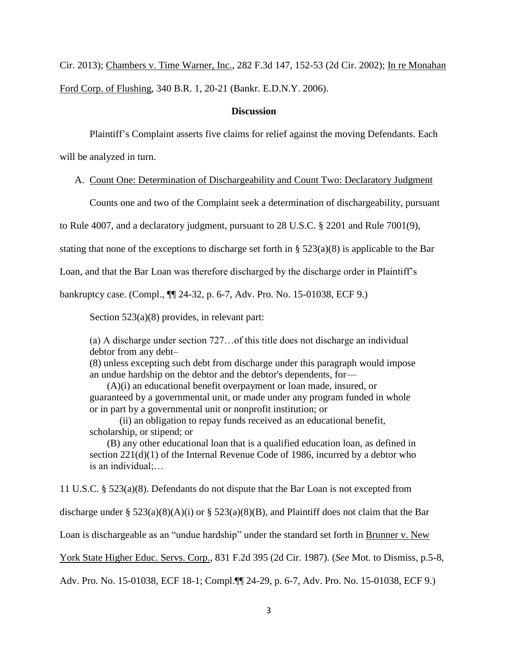Cir. 2013); Chambers v. Time Warner, Inc., 282 F.3d 147, 152-53 (2d Cir. 2002); In re Monahan Ford Corp. of Flushing, 340 B.R. 1, 20-21 (Bankr. E.D.N.Y. 2006).

# **Discussion**

Plaintiff's Complaint asserts five claims for relief against the moving Defendants. Each

will be analyzed in turn.

### A. Count One: Determination of Dischargeability and Count Two: Declaratory Judgment

Counts one and two of the Complaint seek a determination of dischargeability, pursuant

to Rule 4007, and a declaratory judgment, pursuant to 28 U.S.C. § 2201 and Rule 7001(9),

stating that none of the exceptions to discharge set forth in § 523(a)(8) is applicable to the Bar

Loan, and that the Bar Loan was therefore discharged by the discharge order in Plaintiff's

bankruptcy case. (Compl., ¶¶ 24-32, p. 6-7, Adv. Pro. No. 15-01038, ECF 9.)

Section 523(a)(8) provides, in relevant part:

(a) A discharge under section 727…of this title does not discharge an individual debtor from any debt–

(8) unless excepting such debt from discharge under this paragraph would impose an undue hardship on the debtor and the debtor's dependents, for—

 (A)(i) an educational benefit overpayment or loan made, insured, or guaranteed by a governmental unit, or made under any program funded in whole or in part by a governmental unit or nonprofit institution; or

(ii) an obligation to repay funds received as an educational benefit, scholarship, or stipend; or

 (B) any other educational loan that is a qualified education loan, as defined in section  $221(d)(1)$  of the Internal Revenue Code of 1986, incurred by a debtor who is an individual;…

11 U.S.C. § 523(a)(8). Defendants do not dispute that the Bar Loan is not excepted from

discharge under §  $523(a)(8)(A)(i)$  or §  $523(a)(8)(B)$ , and Plaintiff does not claim that the Bar

Loan is dischargeable as an "undue hardship" under the standard set forth in Brunner v. New

York State Higher Educ. Servs. Corp., 831 F.2d 395 (2d Cir. 1987). (*See* Mot. to Dismiss, p.5-8,

Adv. Pro. No. 15-01038, ECF 18-1; Compl.¶¶ 24-29, p. 6-7, Adv. Pro. No. 15-01038, ECF 9.)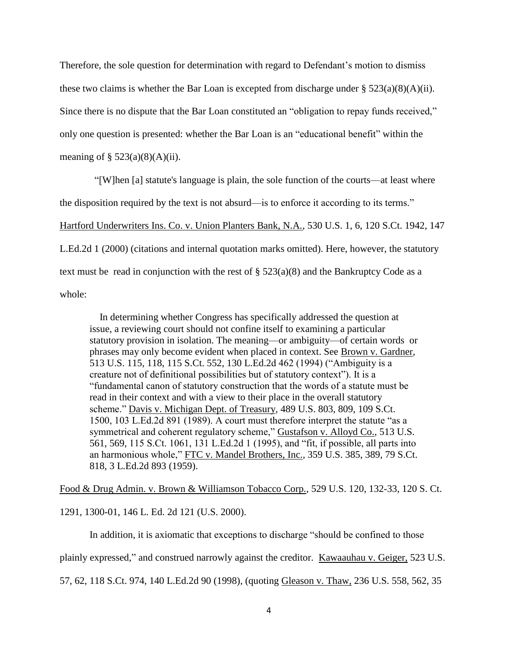Therefore, the sole question for determination with regard to Defendant's motion to dismiss these two claims is whether the Bar Loan is excepted from discharge under §  $523(a)(8)(A)(ii)$ . Since there is no dispute that the Bar Loan constituted an "obligation to repay funds received," only one question is presented: whether the Bar Loan is an "educational benefit" within the meaning of  $\S$  523(a)(8)(A)(ii).

―[W]hen [a] statute's language is plain, the sole function of the courts—at least where the disposition required by the text is not absurd—is to enforce it according to its terms." Hartford Underwriters Ins. Co. v. Union Planters Bank, N.A*.,* 530 U.S. 1, 6, 120 S.Ct. 1942, 147 L.Ed.2d 1 (2000) (citations and internal quotation marks omitted). Here, however, the statutory text must be read in conjunction with the rest of  $\S 523(a)(8)$  and the Bankruptcy Code as a whole:

 In determining whether Congress has specifically addressed the question at issue, a reviewing court should not confine itself to examining a particular statutory provision in isolation. The meaning—or ambiguity—of certain words or phrases may only become evident when placed in context. See Brown v. Gardner*,* 513 U.S. 115, 118, 115 S.Ct. 552, 130 L.Ed.2d 462 (1994) ("Ambiguity is a creature not of definitional possibilities but of statutory context"). It is a ―fundamental canon of statutory construction that the words of a statute must be read in their context and with a view to their place in the overall statutory scheme." Davis v. Michigan Dept. of Treasury, 489 U.S. 803, 809, 109 S.Ct. 1500, 103 L.Ed.2d 891 (1989). A court must therefore interpret the statute "as a symmetrical and coherent regulatory scheme," Gustafson v. Alloyd Co., 513 U.S. 561, 569, 115 S.Ct. 1061, 131 L.Ed.2d 1 (1995), and "fit, if possible, all parts into an harmonious whole," FTC v. Mandel Brothers, Inc., 359 U.S. 385, 389, 79 S.Ct. 818, 3 L.Ed.2d 893 (1959).

Food & Drug Admin. v. Brown & Williamson Tobacco Corp., 529 U.S. 120, 132-33, 120 S. Ct.

1291, 1300-01, 146 L. Ed. 2d 121 (U.S. 2000).

In addition, it is axiomatic that exceptions to discharge "should be confined to those

plainly expressed," and construed narrowly against the creditor. Kawaauhau v. Geiger, 523 U.S.

57, 62, 118 S.Ct. 974, 140 L.Ed.2d 90 (1998), (quoting Gleason v. Thaw*,* 236 U.S. 558, 562, 35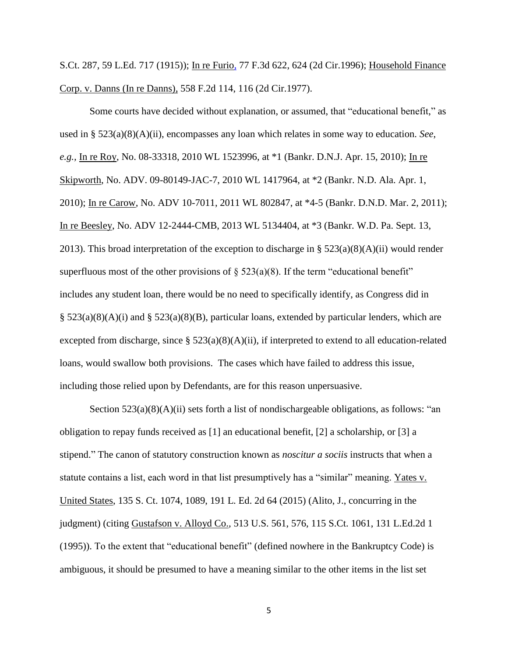S.Ct. 287, 59 L.Ed. 717 (1915)); In re Furio*,* 77 F.3d 622, 624 (2d Cir.1996); Household Finance Corp. v. Danns (In re Danns)*,* 558 F.2d 114, 116 (2d Cir.1977).

Some courts have decided without explanation, or assumed, that "educational benefit," as used in § 523(a)(8)(A)(ii), encompasses any loan which relates in some way to education. *See*, *e.g.,* In re Roy, No. 08-33318, 2010 WL 1523996, at \*1 (Bankr. D.N.J. Apr. 15, 2010); In re Skipworth, No. ADV. 09-80149-JAC-7, 2010 WL 1417964, at \*2 (Bankr. N.D. Ala. Apr. 1, 2010); In re Carow, No. ADV 10-7011, 2011 WL 802847, at \*4-5 (Bankr. D.N.D. Mar. 2, 2011); In re Beesley, No. ADV 12-2444-CMB, 2013 WL 5134404, at \*3 (Bankr. W.D. Pa. Sept. 13, 2013). This broad interpretation of the exception to discharge in  $\S 523(a)(8)(A)(ii)$  would render superfluous most of the other provisions of  $\S$  523(a)(8). If the term "educational benefit" includes any student loan, there would be no need to specifically identify, as Congress did in  $\S$  523(a)(8)(A)(i) and  $\S$  523(a)(8)(B), particular loans, extended by particular lenders, which are excepted from discharge, since  $\S$  523(a)(8)(A)(ii), if interpreted to extend to all education-related loans, would swallow both provisions. The cases which have failed to address this issue, including those relied upon by Defendants, are for this reason unpersuasive.

Section  $523(a)(8)(A)(ii)$  sets forth a list of nondischargeable obligations, as follows: "an obligation to repay funds received as [1] an educational benefit, [2] a scholarship, or [3] a stipend." The canon of statutory construction known as *noscitur a sociis* instructs that when a statute contains a list, each word in that list presumptively has a "similar" meaning. Yates v. United States, 135 S. Ct. 1074, 1089, 191 L. Ed. 2d 64 (2015) (Alito, J., concurring in the judgment) (citing Gustafson v. Alloyd Co.*,* 513 U.S. 561, 576, 115 S.Ct. 1061, 131 L.Ed.2d 1  $(1995)$ ). To the extent that "educational benefit" (defined nowhere in the Bankruptcy Code) is ambiguous, it should be presumed to have a meaning similar to the other items in the list set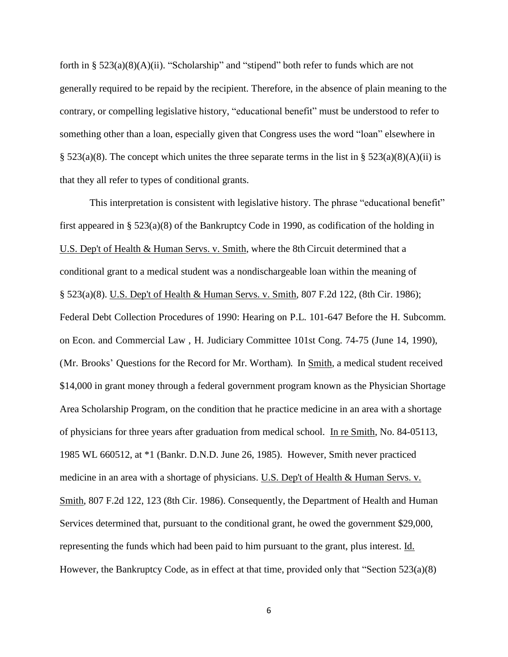forth in §  $523(a)(8)(A)(ii)$ . "Scholarship" and "stipend" both refer to funds which are not generally required to be repaid by the recipient. Therefore, in the absence of plain meaning to the contrary, or compelling legislative history, "educational benefit" must be understood to refer to something other than a loan, especially given that Congress uses the word "loan" elsewhere in § 523(a)(8). The concept which unites the three separate terms in the list in § 523(a)(8)(A)(ii) is that they all refer to types of conditional grants.

This interpretation is consistent with legislative history. The phrase "educational benefit" first appeared in § 523(a)(8) of the Bankruptcy Code in 1990, as codification of the holding in U.S. Dep't of Health & Human Servs. v. Smith, where the 8th Circuit determined that a conditional grant to a medical student was a nondischargeable loan within the meaning of § 523(a)(8). U.S. Dep't of Health & Human Servs. v. Smith, 807 F.2d 122, (8th Cir. 1986); Federal Debt Collection Procedures of 1990: Hearing on P.L. 101-647 Before the H. Subcomm. on Econ. and Commercial Law , H. Judiciary Committee 101st Cong. 74-75 (June 14, 1990), (Mr. Brooks' Questions for the Record for Mr. Wortham). In Smith, a medical student received \$14,000 in grant money through a federal government program known as the Physician Shortage Area Scholarship Program, on the condition that he practice medicine in an area with a shortage of physicians for three years after graduation from medical school. In re Smith, No. 84-05113, 1985 WL 660512, at \*1 (Bankr. D.N.D. June 26, 1985). However, Smith never practiced medicine in an area with a shortage of physicians. U.S. Dep't of Health & Human Servs. v. Smith, 807 F.2d 122, 123 (8th Cir. 1986). Consequently, the Department of Health and Human Services determined that, pursuant to the conditional grant, he owed the government \$29,000, representing the funds which had been paid to him pursuant to the grant, plus interest. Id. However, the Bankruptcy Code, as in effect at that time, provided only that "Section  $523(a)(8)$ "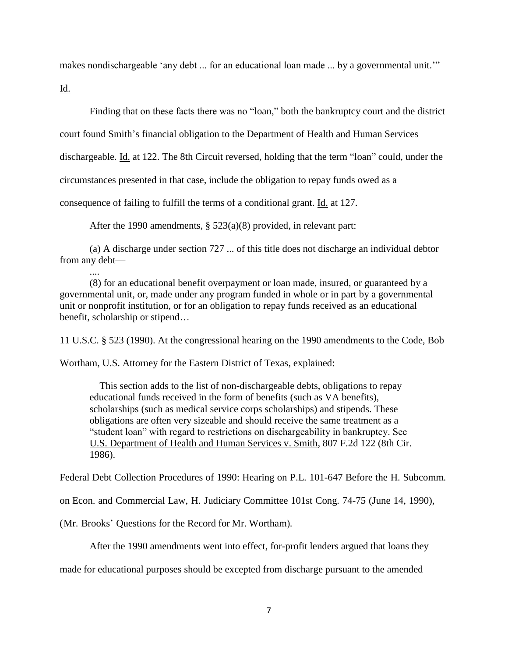makes nondischargeable 'any debt ... for an educational loan made ... by a governmental unit."

Id.

Finding that on these facts there was no "loan," both the bankruptcy court and the district

court found Smith's financial obligation to the Department of Health and Human Services

dischargeable. Id. at 122. The 8th Circuit reversed, holding that the term "loan" could, under the

circumstances presented in that case, include the obligation to repay funds owed as a

consequence of failing to fulfill the terms of a conditional grant. Id. at 127.

After the 1990 amendments, § 523(a)(8) provided, in relevant part:

(a) A discharge under section 727 ... of this title does not discharge an individual debtor from any debt—

(8) for an educational benefit overpayment or loan made, insured, or guaranteed by a governmental unit, or, made under any program funded in whole or in part by a governmental unit or nonprofit institution, or for an obligation to repay funds received as an educational benefit, scholarship or stipend…

11 U.S.C. § 523 (1990). At the congressional hearing on the 1990 amendments to the Code, Bob

Wortham, U.S. Attorney for the Eastern District of Texas, explained:

 This section adds to the list of non-dischargeable debts, obligations to repay educational funds received in the form of benefits (such as VA benefits), scholarships (such as medical service corps scholarships) and stipends. These obligations are often very sizeable and should receive the same treatment as a "student loan" with regard to restrictions on dischargeability in bankruptcy. See U.S. Department of Health and Human Services v. Smith, 807 F.2d 122 (8th Cir. 1986).

Federal Debt Collection Procedures of 1990: Hearing on P.L. 101-647 Before the H. Subcomm.

on Econ. and Commercial Law, H. Judiciary Committee 101st Cong. 74-75 (June 14, 1990),

(Mr. Brooks' Questions for the Record for Mr. Wortham).

After the 1990 amendments went into effect, for-profit lenders argued that loans they

made for educational purposes should be excepted from discharge pursuant to the amended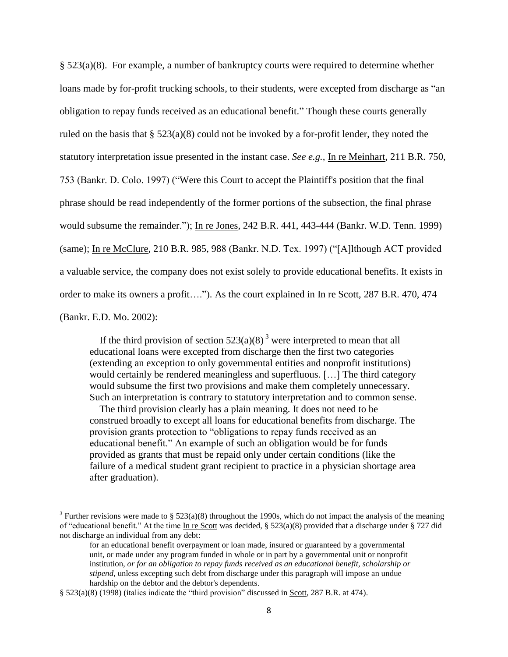§ 523(a)(8). For example, a number of bankruptcy courts were required to determine whether loans made by for-profit trucking schools, to their students, were excepted from discharge as "an obligation to repay funds received as an educational benefit.‖ Though these courts generally ruled on the basis that § 523(a)(8) could not be invoked by a for-profit lender, they noted the statutory interpretation issue presented in the instant case. *See e.g.,* In re Meinhart, 211 B.R. 750, 753 (Bankr. D. Colo. 1997) ("Were this Court to accept the Plaintiff's position that the final phrase should be read independently of the former portions of the subsection, the final phrase would subsume the remainder."); In re Jones, 242 B.R. 441, 443-444 (Bankr. W.D. Tenn. 1999) (same); In re McClure, 210 B.R. 985, 988 (Bankr. N.D. Tex. 1997) ("[A]lthough ACT provided a valuable service, the company does not exist solely to provide educational benefits. It exists in order to make its owners a profit...."). As the court explained in In re Scott, 287 B.R. 470, 474 (Bankr. E.D. Mo. 2002):

If the third provision of section  $523(a)(8)^3$  were interpreted to mean that all educational loans were excepted from discharge then the first two categories (extending an exception to only governmental entities and nonprofit institutions) would certainly be rendered meaningless and superfluous. […] The third category would subsume the first two provisions and make them completely unnecessary. Such an interpretation is contrary to statutory interpretation and to common sense.

 The third provision clearly has a plain meaning. It does not need to be construed broadly to except all loans for educational benefits from discharge. The provision grants protection to "obligations to repay funds received as an educational benefit." An example of such an obligation would be for funds provided as grants that must be repaid only under certain conditions (like the failure of a medical student grant recipient to practice in a physician shortage area after graduation).

<sup>&</sup>lt;sup>3</sup> Further revisions were made to § 523(a)(8) throughout the 1990s, which do not impact the analysis of the meaning of "educational benefit." At the time In re Scott was decided,  $\S$  523(a)(8) provided that a discharge under  $\S$  727 did not discharge an individual from any debt:

for an educational benefit overpayment or loan made, insured or guaranteed by a governmental unit, or made under any program funded in whole or in part by a governmental unit or nonprofit institution, *or for an obligation to repay funds received as an educational benefit, scholarship or stipend*, unless excepting such debt from discharge under this paragraph will impose an undue hardship on the debtor and the debtor's dependents.

<sup>§</sup>  $523(a)(8)$  (1998) (italics indicate the "third provision" discussed in Scott, 287 B.R. at 474).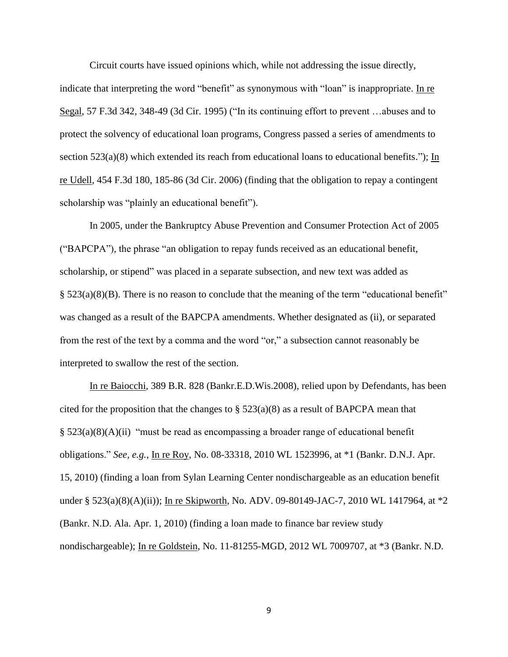Circuit courts have issued opinions which, while not addressing the issue directly,

indicate that interpreting the word "benefit" as synonymous with "loan" is inappropriate. In re Segal, 57 F.3d 342, 348-49 (3d Cir. 1995) ("In its continuing effort to prevent  $\dots$ abuses and to protect the solvency of educational loan programs, Congress passed a series of amendments to section  $523(a)(8)$  which extended its reach from educational loans to educational benefits."); In re Udell, 454 F.3d 180, 185-86 (3d Cir. 2006) (finding that the obligation to repay a contingent scholarship was "plainly an educational benefit").

In 2005, under the Bankruptcy Abuse Prevention and Consumer Protection Act of 2005  $("BAPCPA")$ , the phrase "an obligation to repay funds received as an educational benefit, scholarship, or stipend" was placed in a separate subsection, and new text was added as  $\S$  523(a)(8)(B). There is no reason to conclude that the meaning of the term "educational benefit" was changed as a result of the BAPCPA amendments. Whether designated as (ii), or separated from the rest of the text by a comma and the word "or," a subsection cannot reasonably be interpreted to swallow the rest of the section.

In re Baiocchi*,* 389 B.R. 828 (Bankr.E.D.Wis.2008), relied upon by Defendants, has been cited for the proposition that the changes to  $\S$  523(a)(8) as a result of BAPCPA mean that  $\S$  523(a)(8)(A)(ii) "must be read as encompassing a broader range of educational benefit obligations.‖ *See, e.g.*, In re Roy, No. 08-33318, 2010 WL 1523996, at \*1 (Bankr. D.N.J. Apr. 15, 2010) (finding a loan from Sylan Learning Center nondischargeable as an education benefit under § 523(a)(8)(A)(ii)); In re Skipworth, No. ADV. 09-80149-JAC-7, 2010 WL 1417964, at \*2 (Bankr. N.D. Ala. Apr. 1, 2010) (finding a loan made to finance bar review study nondischargeable); In re Goldstein, No. 11-81255-MGD, 2012 WL 7009707, at \*3 (Bankr. N.D.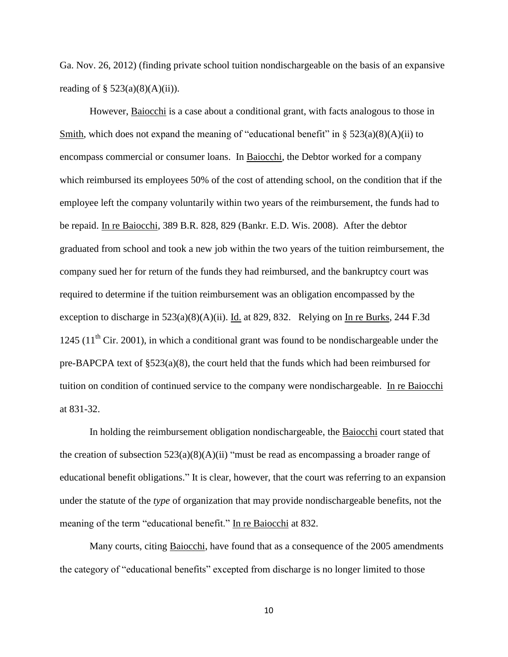Ga. Nov. 26, 2012) (finding private school tuition nondischargeable on the basis of an expansive reading of  $\S$  523(a)(8)(A)(ii)).

However, Baiocchi is a case about a conditional grant, with facts analogous to those in Smith, which does not expand the meaning of "educational benefit" in  $\S 523(a)(8)(A)(ii)$  to encompass commercial or consumer loans. In Baiocchi, the Debtor worked for a company which reimbursed its employees 50% of the cost of attending school, on the condition that if the employee left the company voluntarily within two years of the reimbursement, the funds had to be repaid. In re Baiocchi, 389 B.R. 828, 829 (Bankr. E.D. Wis. 2008). After the debtor graduated from school and took a new job within the two years of the tuition reimbursement, the company sued her for return of the funds they had reimbursed, and the bankruptcy court was required to determine if the tuition reimbursement was an obligation encompassed by the exception to discharge in  $523(a)(8)(A)(ii)$ . Id. at 829, 832. Relying on In re Burks, 244 F.3d 1245 (11<sup>th</sup> Cir. 2001), in which a conditional grant was found to be nondischargeable under the pre-BAPCPA text of §523(a)(8), the court held that the funds which had been reimbursed for tuition on condition of continued service to the company were nondischargeable. In re Baiocchi at 831-32.

In holding the reimbursement obligation nondischargeable, the Baiocchi court stated that the creation of subsection  $523(a)(8)(A)(ii)$  "must be read as encompassing a broader range of educational benefit obligations.‖ It is clear, however, that the court was referring to an expansion under the statute of the *type* of organization that may provide nondischargeable benefits, not the meaning of the term "educational benefit." In re Baiocchi at 832.

Many courts, citing Baiocchi, have found that as a consequence of the 2005 amendments the category of "educational benefits" excepted from discharge is no longer limited to those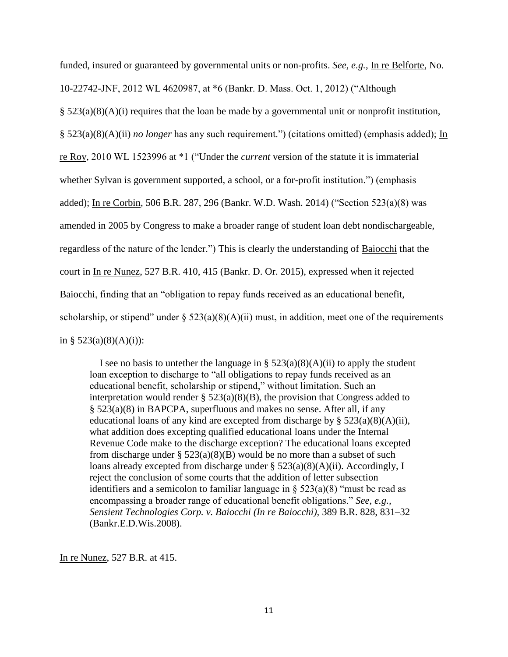funded, insured or guaranteed by governmental units or non-profits. *See, e.g.*, In re Belforte, No.

10-22742-JNF, 2012 WL 4620987, at \*6 (Bankr. D. Mass. Oct. 1, 2012) ("Although

 $\S$  523(a)(8)(A)(i) requires that the loan be made by a governmental unit or nonprofit institution,

§ 523(a)(8)(A)(ii) *no longer* has any such requirement.") (citations omitted) (emphasis added); <u>In</u>

re Roy, 2010 WL 1523996 at \*1 ("Under the *current* version of the statute it is immaterial

whether Sylvan is government supported, a school, or a for-profit institution.") (emphasis

added); In re Corbin, 506 B.R. 287, 296 (Bankr. W.D. Wash. 2014) ("Section  $523(a)(8)$  was

amended in 2005 by Congress to make a broader range of student loan debt nondischargeable,

regardless of the nature of the lender.") This is clearly the understanding of Baiocchi that the

court in In re Nunez, 527 B.R. 410, 415 (Bankr. D. Or. 2015), expressed when it rejected

Baiocchi, finding that an "obligation to repay funds received as an educational benefit,

scholarship, or stipend" under §  $523(a)(8)(A)(ii)$  must, in addition, meet one of the requirements

in §  $523(a)(8)(A)(i)$ :

I see no basis to untether the language in §  $523(a)(8)(A)(ii)$  to apply the student loan exception to discharge to "all obligations to repay funds received as an educational benefit, scholarship or stipend," without limitation. Such an interpretation would render  $\S$  523(a)(8)(B), the provision that Congress added to § 523(a)(8) in BAPCPA, superfluous and makes no sense. After all, if any educational loans of any kind are excepted from discharge by  $\S$  523(a)(8)(A)(ii), what addition does excepting qualified educational loans under the Internal Revenue Code make to the discharge exception? The educational loans excepted from discharge under  $\S$  523(a)(8)(B) would be no more than a subset of such loans already excepted from discharge under § 523(a)(8)(A)(ii). Accordingly, I reject the conclusion of some courts that the addition of letter subsection identifiers and a semicolon to familiar language in  $\S$  523(a)(8) "must be read as encompassing a broader range of educational benefit obligations." *See, e.g., Sensient Technologies Corp. v. Baiocchi (In re Baiocchi),* 389 B.R. 828, 831–32 (Bankr.E.D.Wis.2008).

In re Nunez, 527 B.R. at 415.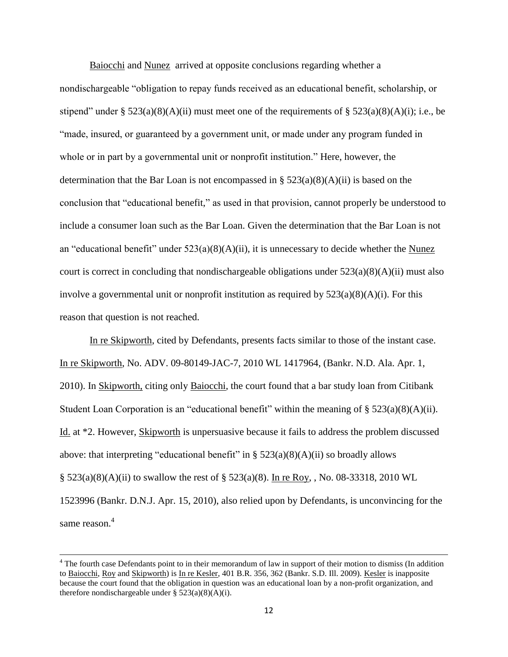Baiocchi and Nunez arrived at opposite conclusions regarding whether a

nondischargeable "obligation to repay funds received as an educational benefit, scholarship, or stipend" under §  $523(a)(8)(A)(ii)$  must meet one of the requirements of §  $523(a)(8)(A)(i)$ ; i.e., be ―made, insured, or guaranteed by a government unit, or made under any program funded in whole or in part by a governmental unit or nonprofit institution." Here, however, the determination that the Bar Loan is not encompassed in §  $523(a)(8)(A)(ii)$  is based on the conclusion that "educational benefit," as used in that provision, cannot properly be understood to include a consumer loan such as the Bar Loan. Given the determination that the Bar Loan is not an "educational benefit" under  $523(a)(8)(A)(ii)$ , it is unnecessary to decide whether the Nunez court is correct in concluding that nondischargeable obligations under  $523(a)(8)(A)(ii)$  must also involve a governmental unit or nonprofit institution as required by  $523(a)(8)(A)(i)$ . For this reason that question is not reached.

In re Skipworth, cited by Defendants, presents facts similar to those of the instant case. In re Skipworth, No. ADV. 09-80149-JAC-7, 2010 WL 1417964, (Bankr. N.D. Ala. Apr. 1, 2010). In Skipworth, citing only Baiocchi, the court found that a bar study loan from Citibank Student Loan Corporation is an "educational benefit" within the meaning of  $\S 523(a)(8)(A)(ii)$ . Id. at \*2. However, Skipworth is unpersuasive because it fails to address the problem discussed above: that interpreting "educational benefit" in  $\S$  523(a)(8)(A)(ii) so broadly allows § 523(a)(8)(A)(ii) to swallow the rest of § 523(a)(8). In re Roy, , No. 08-33318, 2010 WL 1523996 (Bankr. D.N.J. Apr. 15, 2010), also relied upon by Defendants, is unconvincing for the same reason. 4

<sup>&</sup>lt;sup>4</sup> The fourth case Defendants point to in their memorandum of law in support of their motion to dismiss (In addition to Baiocchi, Roy and Skipworth) is In re Kesler, 401 B.R. 356, 362 (Bankr. S.D. Ill. 2009). Kesler is inapposite because the court found that the obligation in question was an educational loan by a non-profit organization, and therefore nondischargeable under  $\S$  523(a)(8)(A)(i).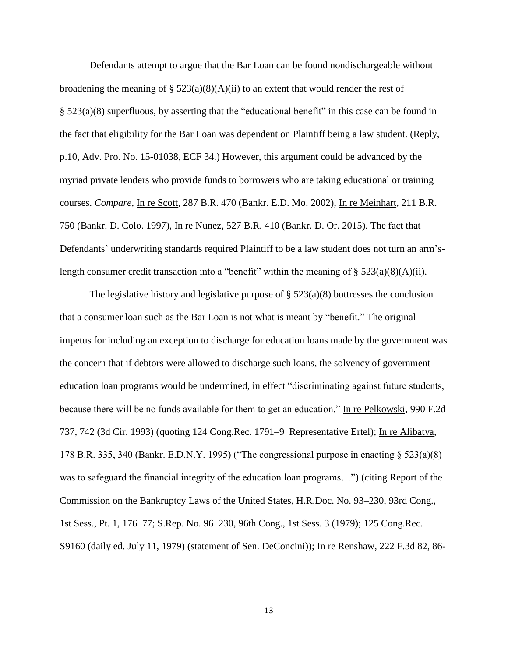Defendants attempt to argue that the Bar Loan can be found nondischargeable without broadening the meaning of  $\S$  523(a)(8)(A)(ii) to an extent that would render the rest of  $\S$  523(a)(8) superfluous, by asserting that the "educational benefit" in this case can be found in the fact that eligibility for the Bar Loan was dependent on Plaintiff being a law student. (Reply, p.10, Adv. Pro. No. 15-01038, ECF 34.) However, this argument could be advanced by the myriad private lenders who provide funds to borrowers who are taking educational or training courses. *Compare*, In re Scott, 287 B.R. 470 (Bankr. E.D. Mo. 2002), In re Meinhart, 211 B.R. 750 (Bankr. D. Colo. 1997), In re Nunez, 527 B.R. 410 (Bankr. D. Or. 2015). The fact that Defendants' underwriting standards required Plaintiff to be a law student does not turn an arm'slength consumer credit transaction into a "benefit" within the meaning of  $\S 523(a)(8)(A)(ii)$ .

The legislative history and legislative purpose of  $\S$  523(a)(8) buttresses the conclusion that a consumer loan such as the Bar Loan is not what is meant by "benefit." The original impetus for including an exception to discharge for education loans made by the government was the concern that if debtors were allowed to discharge such loans, the solvency of government education loan programs would be undermined, in effect "discriminating against future students, because there will be no funds available for them to get an education." In re Pelkowski, 990 F.2d 737, 742 (3d Cir. 1993) (quoting 124 Cong.Rec. 1791–9 Representative Ertel); In re Alibatya, 178 B.R. 335, 340 (Bankr. E.D.N.Y. 1995) ("The congressional purpose in enacting  $\S$  523(a)(8) was to safeguard the financial integrity of the education loan programs...") (citing Report of the Commission on the Bankruptcy Laws of the United States, H.R.Doc. No. 93–230, 93rd Cong., 1st Sess., Pt. 1, 176–77; S.Rep. No. 96–230, 96th Cong., 1st Sess. 3 (1979); 125 Cong.Rec. S9160 (daily ed. July 11, 1979) (statement of Sen. DeConcini)); In re Renshaw, 222 F.3d 82, 86-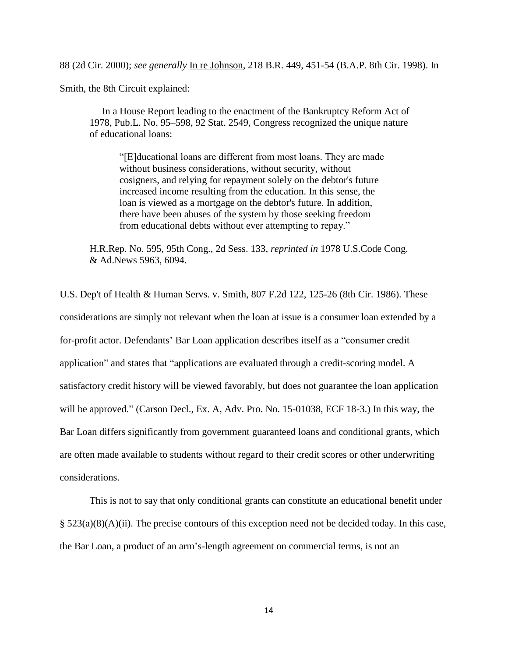88 (2d Cir. 2000); *see generally* In re Johnson, 218 B.R. 449, 451-54 (B.A.P. 8th Cir. 1998). In

Smith, the 8th Circuit explained:

 In a House Report leading to the enactment of the Bankruptcy Reform Act of 1978, Pub.L. No. 95–598, 92 Stat. 2549, Congress recognized the unique nature of educational loans:

―[E]ducational loans are different from most loans. They are made without business considerations, without security, without cosigners, and relying for repayment solely on the debtor's future increased income resulting from the education. In this sense, the loan is viewed as a mortgage on the debtor's future. In addition, there have been abuses of the system by those seeking freedom from educational debts without ever attempting to repay."

H.R.Rep. No. 595, 95th Cong., 2d Sess. 133, *reprinted in* 1978 U.S.Code Cong. & Ad.News 5963, 6094.

U.S. Dep't of Health & Human Servs. v. Smith, 807 F.2d 122, 125-26 (8th Cir. 1986). These considerations are simply not relevant when the loan at issue is a consumer loan extended by a for-profit actor. Defendants' Bar Loan application describes itself as a "consumer credit" application" and states that "applications are evaluated through a credit-scoring model. A satisfactory credit history will be viewed favorably, but does not guarantee the loan application will be approved." (Carson Decl., Ex. A, Adv. Pro. No. 15-01038, ECF 18-3.) In this way, the Bar Loan differs significantly from government guaranteed loans and conditional grants, which are often made available to students without regard to their credit scores or other underwriting considerations.

This is not to say that only conditional grants can constitute an educational benefit under § 523(a)(8)(A)(ii). The precise contours of this exception need not be decided today. In this case, the Bar Loan, a product of an arm's-length agreement on commercial terms, is not an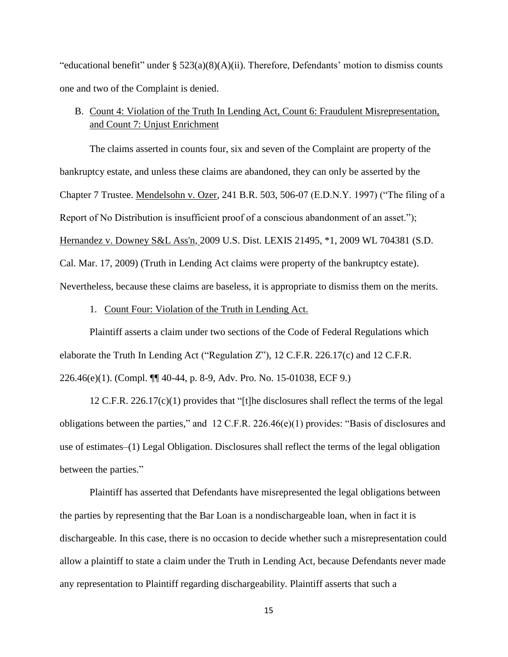"educational benefit" under §  $523(a)(8)(A)(ii)$ . Therefore, Defendants' motion to dismiss counts one and two of the Complaint is denied.

# B. Count 4: Violation of the Truth In Lending Act, Count 6: Fraudulent Misrepresentation, and Count 7: Unjust Enrichment

The claims asserted in counts four, six and seven of the Complaint are property of the bankruptcy estate, and unless these claims are abandoned, they can only be asserted by the Chapter 7 Trustee. Mendelsohn v. Ozer, 241 B.R. 503, 506-07 (E.D.N.Y. 1997) ("The filing of a Report of No Distribution is insufficient proof of a conscious abandonment of an asset."); Hernandez v. Downey S&L Ass'n, [2009 U.S. Dist. LEXIS 21495, \\*1, 2009 WL 704381 \(S.D.](https://advance.lexis.com/api/document/collection/cases/id/4VW4-9T60-TXFP-C2KT-00000-00?page=23&reporter=1293&context=1000516)  [Cal. Mar. 17, 2009\)](https://advance.lexis.com/api/document/collection/cases/id/4VW4-9T60-TXFP-C2KT-00000-00?page=23&reporter=1293&context=1000516) (Truth in Lending Act claims were property of the bankruptcy estate). Nevertheless, because these claims are baseless, it is appropriate to dismiss them on the merits.

#### 1. Count Four: Violation of the Truth in Lending Act.

Plaintiff asserts a claim under two sections of the Code of Federal Regulations which elaborate the Truth In Lending Act ("Regulation  $Z$ "), 12 C.F.R. 226.17(c) and 12 C.F.R. 226.46(e)(1). (Compl. ¶¶ 40-44, p. 8-9, Adv. Pro. No. 15-01038, ECF 9.)

12 C.F.R. 226.17(c)(1) provides that "[t]he disclosures shall reflect the terms of the legal obligations between the parties," and  $12$  C.F.R. 226.46(e)(1) provides: "Basis of disclosures and use of estimates–(1) Legal Obligation. Disclosures shall reflect the terms of the legal obligation between the parties."

Plaintiff has asserted that Defendants have misrepresented the legal obligations between the parties by representing that the Bar Loan is a nondischargeable loan, when in fact it is dischargeable. In this case, there is no occasion to decide whether such a misrepresentation could allow a plaintiff to state a claim under the Truth in Lending Act, because Defendants never made any representation to Plaintiff regarding dischargeability. Plaintiff asserts that such a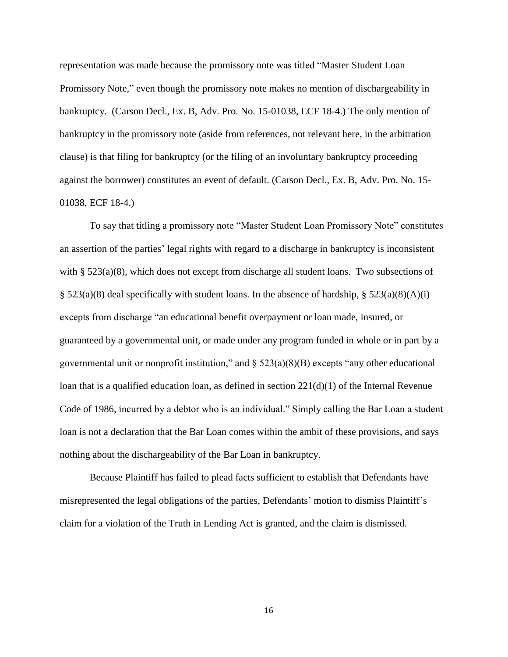representation was made because the promissory note was titled "Master Student Loan" Promissory Note," even though the promissory note makes no mention of dischargeability in bankruptcy. (Carson Decl., Ex. B, Adv. Pro. No. 15-01038, ECF 18-4.) The only mention of bankruptcy in the promissory note (aside from references, not relevant here, in the arbitration clause) is that filing for bankruptcy (or the filing of an involuntary bankruptcy proceeding against the borrower) constitutes an event of default. (Carson Decl., Ex. B, Adv. Pro. No. 15- 01038, ECF 18-4.)

To say that titling a promissory note "Master Student Loan Promissory Note" constitutes an assertion of the parties' legal rights with regard to a discharge in bankruptcy is inconsistent with §  $523(a)(8)$ , which does not except from discharge all student loans. Two subsections of  $\S$  523(a)(8) deal specifically with student loans. In the absence of hardship,  $\S$  523(a)(8)(A)(i) excepts from discharge "an educational benefit overpayment or loan made, insured, or guaranteed by a governmental unit, or made under any program funded in whole or in part by a governmental unit or nonprofit institution," and  $\S$  523(a)(8)(B) excepts "any other educational loan that is a qualified education loan, as defined in section 221(d)(1) of the Internal Revenue Code of 1986, incurred by a debtor who is an individual." Simply calling the Bar Loan a student loan is not a declaration that the Bar Loan comes within the ambit of these provisions, and says nothing about the dischargeability of the Bar Loan in bankruptcy.

Because Plaintiff has failed to plead facts sufficient to establish that Defendants have misrepresented the legal obligations of the parties, Defendants' motion to dismiss Plaintiff's claim for a violation of the Truth in Lending Act is granted, and the claim is dismissed.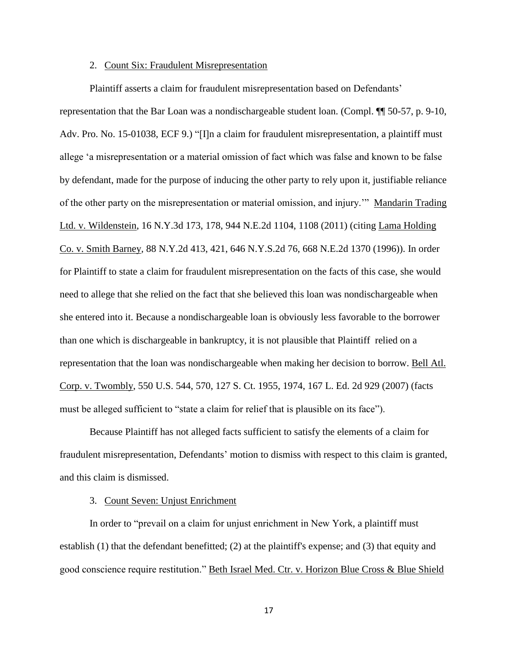#### 2. Count Six: Fraudulent Misrepresentation

Plaintiff asserts a claim for fraudulent misrepresentation based on Defendants'

representation that the Bar Loan was a nondischargeable student loan. (Compl. ¶¶ 50-57, p. 9-10, Adv. Pro. No. 15-01038, ECF 9.) "[I]n a claim for fraudulent misrepresentation, a plaintiff must allege ‗a misrepresentation or a material omission of fact which was false and known to be false by defendant, made for the purpose of inducing the other party to rely upon it, justifiable reliance of the other party on the misrepresentation or material omission, and injury."" Mandarin Trading Ltd. v. Wildenstein, 16 N.Y.3d 173, 178, 944 N.E.2d 1104, 1108 (2011) (citing Lama Holding Co. v. Smith Barney*,* 88 N.Y.2d 413, 421, 646 N.Y.S.2d 76, 668 N.E.2d 1370 (1996)). In order for Plaintiff to state a claim for fraudulent misrepresentation on the facts of this case, she would need to allege that she relied on the fact that she believed this loan was nondischargeable when she entered into it. Because a nondischargeable loan is obviously less favorable to the borrower than one which is dischargeable in bankruptcy, it is not plausible that Plaintiff relied on a representation that the loan was nondischargeable when making her decision to borrow. Bell Atl. Corp. v. Twombly, 550 U.S. 544, 570, 127 S. Ct. 1955, 1974, 167 L. Ed. 2d 929 (2007) (facts must be alleged sufficient to "state a claim for relief that is plausible on its face").

Because Plaintiff has not alleged facts sufficient to satisfy the elements of a claim for fraudulent misrepresentation, Defendants' motion to dismiss with respect to this claim is granted, and this claim is dismissed.

## 3. Count Seven: Unjust Enrichment

In order to "prevail on a claim for unjust enrichment in New York, a plaintiff must establish (1) that the defendant benefitted; (2) at the plaintiff's expense; and (3) that equity and good conscience require restitution." Beth Israel Med. Ctr. v. Horizon Blue Cross & Blue Shield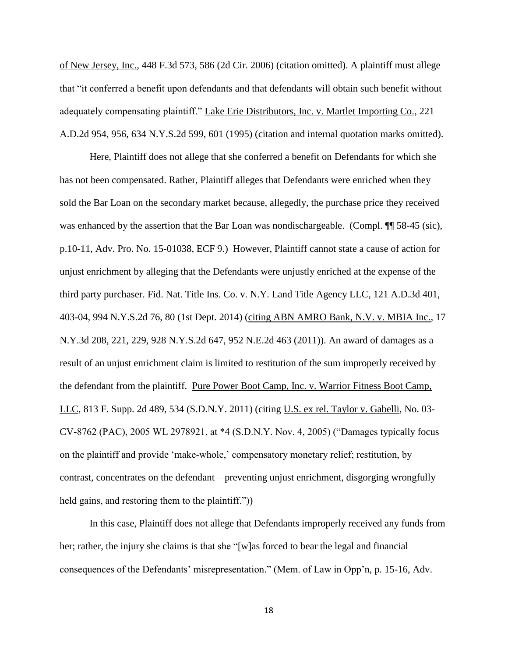of New Jersey, Inc., 448 F.3d 573, 586 (2d Cir. 2006) (citation omitted). A plaintiff must allege that "it conferred a benefit upon defendants and that defendants will obtain such benefit without adequately compensating plaintiff." Lake Erie Distributors, Inc. v. Martlet Importing Co., 221 A.D.2d 954, 956, 634 N.Y.S.2d 599, 601 (1995) (citation and internal quotation marks omitted).

Here, Plaintiff does not allege that she conferred a benefit on Defendants for which she has not been compensated. Rather, Plaintiff alleges that Defendants were enriched when they sold the Bar Loan on the secondary market because, allegedly, the purchase price they received was enhanced by the assertion that the Bar Loan was nondischargeable. (Compl.  $\P$  58-45 (sic), p.10-11, Adv. Pro. No. 15-01038, ECF 9.) However, Plaintiff cannot state a cause of action for unjust enrichment by alleging that the Defendants were unjustly enriched at the expense of the third party purchaser. Fid. Nat. Title Ins. Co. v. N.Y. Land Title Agency LLC, 121 A.D.3d 401, 403-04, 994 N.Y.S.2d 76, 80 (1st Dept. 2014) (citing ABN AMRO Bank, N.V. v. MBIA Inc.*,* 17 N.Y.3d 208, 221, 229, 928 N.Y.S.2d 647, 952 N.E.2d 463 (2011)). An award of damages as a result of an unjust enrichment claim is limited to restitution of the sum improperly received by the defendant from the plaintiff. Pure Power Boot Camp, Inc. v. Warrior Fitness Boot Camp, LLC, 813 F. Supp. 2d 489, 534 (S.D.N.Y. 2011) (citing U.S. ex rel. Taylor v. Gabelli*,* No. 03-  $CV-8762$  (PAC), 2005 WL 2978921, at  $*4$  (S.D.N.Y. Nov. 4, 2005) ("Damages typically focus on the plaintiff and provide 'make-whole,' compensatory monetary relief; restitution, by contrast, concentrates on the defendant—preventing unjust enrichment, disgorging wrongfully held gains, and restoring them to the plaintiff."))

In this case, Plaintiff does not allege that Defendants improperly received any funds from her; rather, the injury she claims is that she " $[w]$ as forced to bear the legal and financial consequences of the Defendants' misrepresentation." (Mem. of Law in Opp'n, p. 15-16, Adv.